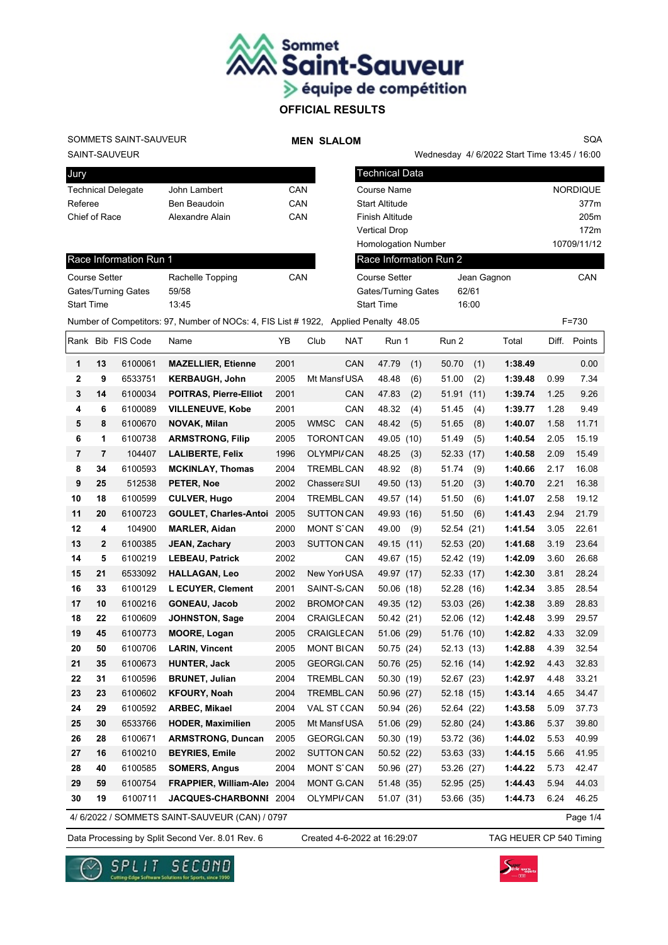

## SAINT-SAUVEUR SOMMETS SAINT-SAUVEUR

Race Information Run 1

#### **MEN SLALOM**

Wednesday 4/ 6/2022 Start Time 13:45 / 16:00 SQA

| Jury                      |                 |     |
|---------------------------|-----------------|-----|
| <b>Technical Delegate</b> | John Lambert    | CAN |
| Referee                   | Ben Beaudoin    | CAN |
| Chief of Race             | Alexandre Alain | CAN |
|                           |                 |     |

| CAN | Course Name                |             |             |  |  |  |  |
|-----|----------------------------|-------------|-------------|--|--|--|--|
| CAN | <b>Start Altitude</b>      |             |             |  |  |  |  |
| CAN | <b>Finish Altitude</b>     |             |             |  |  |  |  |
|     | <b>Vertical Drop</b>       |             | 172m        |  |  |  |  |
|     | <b>Homologation Number</b> |             | 10709/11/12 |  |  |  |  |
|     |                            |             |             |  |  |  |  |
| CAN | Course Setter              | Jean Gagnon | CAN         |  |  |  |  |
|     | Gates/Turning Gates        | 62/61       |             |  |  |  |  |
|     | <b>Start Time</b>          | 16:00       |             |  |  |  |  |

Technical Data

Course Setter Rachelle Topping

|                         |                | Gates/Turning Gates | 59/58                                                                                |      |                          | Gates/Turning Gates | 62/61         |         |       |           |
|-------------------------|----------------|---------------------|--------------------------------------------------------------------------------------|------|--------------------------|---------------------|---------------|---------|-------|-----------|
| <b>Start Time</b>       |                |                     | 13:45                                                                                |      |                          | <b>Start Time</b>   | 16:00         |         |       |           |
|                         |                |                     | Number of Competitors: 97, Number of NOCs: 4, FIS List # 1922, Applied Penalty 48.05 |      |                          |                     |               |         |       | $F = 730$ |
|                         |                | Rank Bib FIS Code   | Name                                                                                 | YB   | Club<br><b>NAT</b>       | Run 1               | Run 2         | Total   | Diff. | Points    |
| 1                       | 13             | 6100061             | <b>MAZELLIER, Etienne</b>                                                            | 2001 | CAN                      | 47.79<br>(1)        | 50.70<br>(1)  | 1:38.49 |       | 0.00      |
| $\mathbf{2}$            | 9              | 6533751             | <b>KERBAUGH, John</b>                                                                | 2005 | Mt Mansf USA             | 48.48<br>(6)        | 51.00<br>(2)  | 1:39.48 | 0.99  | 7.34      |
| 3                       | 14             | 6100034             | <b>POITRAS, Pierre-Elliot</b>                                                        | 2001 | CAN                      | 47.83<br>(2)        | 51.91<br>(11) | 1:39.74 | 1.25  | 9.26      |
| $\overline{\mathbf{4}}$ | 6              | 6100089             | <b>VILLENEUVE, Kobe</b>                                                              | 2001 | CAN                      | 48.32<br>(4)        | 51.45<br>(4)  | 1:39.77 | 1.28  | 9.49      |
| 5                       | 8              | 6100670             | <b>NOVAK, Milan</b>                                                                  | 2005 | <b>WMSC</b><br>CAN       | 48.42<br>(5)        | 51.65<br>(8)  | 1:40.07 | 1.58  | 11.71     |
| 6                       | 1              | 6100738             | <b>ARMSTRONG, Filip</b>                                                              | 2005 | <b>TORONTCAN</b>         | 49.05<br>(10)       | 51.49<br>(5)  | 1:40.54 | 2.05  | 15.19     |
| $\overline{7}$          | $\overline{7}$ | 104407              | <b>LALIBERTE, Felix</b>                                                              | 1996 | OLYMPI/CAN               | 48.25<br>(3)        | 52.33 (17)    | 1:40.58 | 2.09  | 15.49     |
| 8                       | 34             | 6100593             | <b>MCKINLAY, Thomas</b>                                                              | 2004 | <b>TREMBL CAN</b>        | 48.92<br>(8)        | 51.74<br>(9)  | 1:40.66 | 2.17  | 16.08     |
| 9                       | 25             | 512538              | PETER, Noe                                                                           | 2002 | Chassera SUI             | 49.50 (13)          | 51.20<br>(3)  | 1:40.70 | 2.21  | 16.38     |
| 10                      | 18             | 6100599             | <b>CULVER, Hugo</b>                                                                  | 2004 | <b>TREMBL CAN</b>        | 49.57 (14)          | 51.50<br>(6)  | 1:41.07 | 2.58  | 19.12     |
| 11                      | 20             | 6100723             | GOULET, Charles-Antoi 2005                                                           |      | <b>SUTTON CAN</b>        | 49.93 (16)          | 51.50<br>(6)  | 1:41.43 | 2.94  | 21.79     |
| 12                      | 4              | 104900              | <b>MARLER, Aidan</b>                                                                 | 2000 | <b>MONT S'CAN</b>        | 49.00<br>(9)        | 52.54 (21)    | 1:41.54 | 3.05  | 22.61     |
| 13                      | $\mathbf{2}$   | 6100385             | <b>JEAN, Zachary</b>                                                                 | 2003 | <b>SUTTON CAN</b>        | 49.15 (11)          | 52.53 (20)    | 1:41.68 | 3.19  | 23.64     |
| 14                      | 5              | 6100219             | <b>LEBEAU, Patrick</b>                                                               | 2002 | CAN                      | 49.67 (15)          | 52.42 (19)    | 1:42.09 | 3.60  | 26.68     |
| 15                      | 21             | 6533092             | <b>HALLAGAN, Leo</b>                                                                 | 2002 | New Yorl USA             | 49.97 (17)          | 52.33 (17)    | 1:42.30 | 3.81  | 28.24     |
| 16                      | 33             | 6100129             | L ECUYER, Clement                                                                    | 2001 | SAINT-S <sub>/</sub> CAN | 50.06 (18)          | 52.28 (16)    | 1:42.34 | 3.85  | 28.54     |
| 17                      | 10             | 6100216             | <b>GONEAU, Jacob</b>                                                                 | 2002 | <b>BROMONCAN</b>         | 49.35 (12)          | 53.03 (26)    | 1:42.38 | 3.89  | 28.83     |
| 18                      | 22             | 6100609             | <b>JOHNSTON, Sage</b>                                                                | 2004 | <b>CRAIGLE CAN</b>       | 50.42 (21)          | 52.06 (12)    | 1:42.48 | 3.99  | 29.57     |
| 19                      | 45             | 6100773             | <b>MOORE, Logan</b>                                                                  | 2005 | <b>CRAIGLE CAN</b>       | 51.06 (29)          | 51.76 (10)    | 1:42.82 | 4.33  | 32.09     |
| 20                      | 50             | 6100706             | <b>LARIN, Vincent</b>                                                                | 2005 | <b>MONT BICAN</b>        | 50.75 (24)          | 52.13(13)     | 1:42.88 | 4.39  | 32.54     |
| 21                      | 35             | 6100673             | <b>HUNTER, Jack</b>                                                                  | 2005 | <b>GEORGLCAN</b>         | 50.76 (25)          | 52.16 (14)    | 1:42.92 | 4.43  | 32.83     |
| 22                      | 31             | 6100596             | <b>BRUNET, Julian</b>                                                                | 2004 | TREMBL CAN               | 50.30 (19)          | 52.67 (23)    | 1:42.97 | 4.48  | 33.21     |
| 23                      | 23             | 6100602             | <b>KFOURY, Noah</b>                                                                  | 2004 | <b>TREMBL CAN</b>        | 50.96 (27)          | 52.18 (15)    | 1:43.14 | 4.65  | 34.47     |
| 24                      | 29             | 6100592             | ARBEC, Mikael                                                                        | 2004 | VAL ST (CAN              | 50.94 (26)          | 52.64 (22)    | 1:43.58 | 5.09  | 37.73     |
| 25                      | 30             | 6533766             | <b>HODER, Maximilien</b>                                                             | 2005 | Mt Mansf USA             | 51.06 (29)          | 52.80 (24)    | 1:43.86 | 5.37  | 39.80     |
| 26                      | 28             | 6100671             | <b>ARMSTRONG, Duncan</b>                                                             | 2005 | <b>GEORGLCAN</b>         | 50.30 (19)          | 53.72 (36)    | 1:44.02 | 5.53  | 40.99     |
| 27                      | 16             | 6100210             | <b>BEYRIES, Emile</b>                                                                | 2002 | <b>SUTTON CAN</b>        | 50.52(22)           | 53.63 (33)    | 1:44.15 | 5.66  | 41.95     |
| 28                      | 40             | 6100585             | <b>SOMERS, Angus</b>                                                                 | 2004 | <b>MONT S'CAN</b>        | 50.96 (27)          | 53.26 (27)    | 1:44.22 | 5.73  | 42.47     |

4/ 6/2022 / SOMMETS SAINT-SAUVEUR (CAN) / 0797

Page 1/4

Data Processing by Split Second Ver. 8.01 Rev. 6 Created 4-6-2022 at 16:29:07 TAG HEUER CP 540 Timing

Created 4-6-2022 at 16:29:07

**29 59** 6100754 **FRAPPIER, William-Alexis**2004 MONT GARCEAU CAN 51.48 (35) 52.95 (25) **1:44.43** 5.94 44.03 **30 19** 6100711 **JACQUES-CHARBONNI** 2004 OLYMPI/CAN 51.07 (31) 53.66 (35) 1:44.73 6.24 46.25



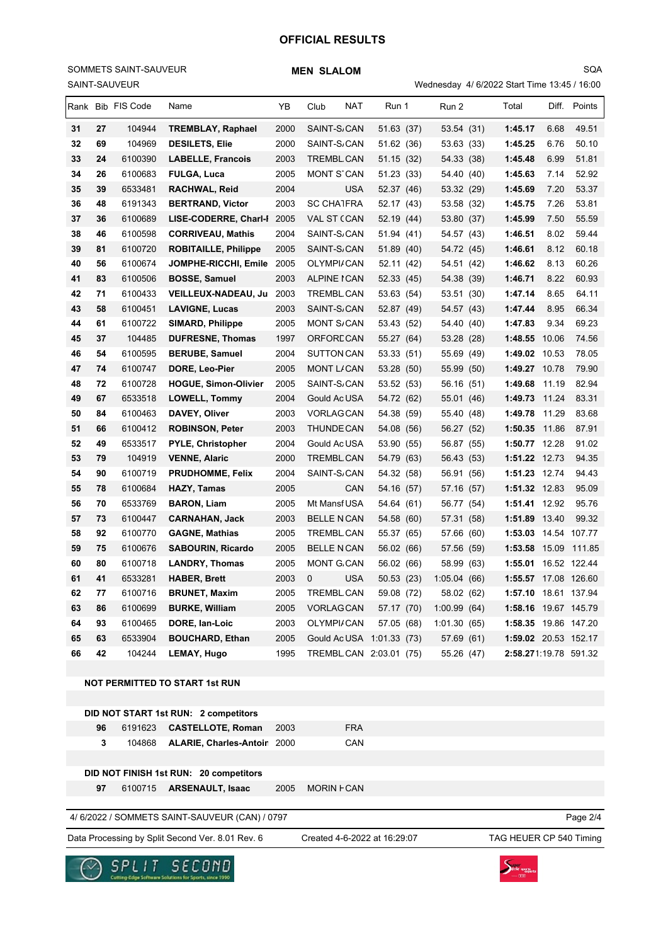#### SAINT-SAUVEUR SOMMETS SAINT-SAUVEUR

Wednesday 4/ 6/2022 Start Time 13:45 / 16:00 SQA

|    |         | omini -onuvcun    |                                                                  |      |                              |            | vvednesday 4/0/2022 Start Time 13.437 10.00 |                         |      |              |
|----|---------|-------------------|------------------------------------------------------------------|------|------------------------------|------------|---------------------------------------------|-------------------------|------|--------------|
|    |         | Rank Bib FIS Code | Name                                                             | YB   | <b>NAT</b><br>Club           | Run 1      | Run 2                                       | Total                   |      | Diff. Points |
| 31 | 27      | 104944            | <b>TREMBLAY, Raphael</b>                                         | 2000 | SAINT-S <sub>/</sub> CAN     | 51.63 (37) | 53.54 (31)                                  | 1:45.17                 | 6.68 | 49.51        |
| 32 | 69      | 104969            | <b>DESILETS, Elie</b>                                            | 2000 | SAINT-S/CAN                  | 51.62 (36) | 53.63 (33)                                  | 1:45.25                 | 6.76 | 50.10        |
| 33 | 24      | 6100390           | <b>LABELLE, Francois</b>                                         | 2003 | TREMBL CAN                   | 51.15 (32) | 54.33 (38)                                  | 1:45.48                 | 6.99 | 51.81        |
| 34 | 26      | 6100683           | <b>FULGA, Luca</b>                                               | 2005 | MONT STCAN                   | 51.23 (33) | 54.40 (40)                                  | 1:45.63                 | 7.14 | 52.92        |
| 35 | 39      | 6533481           | RACHWAL, Reid                                                    | 2004 | <b>USA</b>                   | 52.37 (46) | 53.32 (29)                                  | 1:45.69                 | 7.20 | 53.37        |
| 36 | 48      | 6191343           | <b>BERTRAND, Victor</b>                                          | 2003 | <b>SC CHATFRA</b>            | 52.17 (43) | 53.58 (32)                                  | 1:45.75                 | 7.26 | 53.81        |
| 37 | 36      | 6100689           | LISE-CODERRE, Charl-I 2005                                       |      | VAL ST (CAN                  | 52.19 (44) | 53.80 (37)                                  | 1:45.99                 | 7.50 | 55.59        |
| 38 | 46      | 6100598           | <b>CORRIVEAU, Mathis</b>                                         | 2004 | SAINT-S/CAN                  | 51.94 (41) | 54.57 (43)                                  | 1:46.51                 | 8.02 | 59.44        |
| 39 | 81      | 6100720           | <b>ROBITAILLE, Philippe</b>                                      | 2005 | SAINT-S <sub>/</sub> CAN     | 51.89 (40) | 54.72 (45)                                  | 1:46.61                 | 8.12 | 60.18        |
| 40 | 56      | 6100674           | JOMPHE-RICCHI, Emile                                             | 2005 | OLYMPI/CAN                   | 52.11 (42) | 54.51 (42)                                  | 1:46.62                 | 8.13 | 60.26        |
| 41 | 83      | 6100506           | <b>BOSSE, Samuel</b>                                             | 2003 | ALPINE I CAN                 | 52.33 (45) | 54.38 (39)                                  | 1:46.71                 | 8.22 | 60.93        |
| 42 | 71      | 6100433           | VEILLEUX-NADEAU, Ju 2003                                         |      | TREMBL CAN                   | 53.63 (54) | 53.51 (30)                                  | 1:47.14                 | 8.65 | 64.11        |
| 43 | 58      | 6100451           | <b>LAVIGNE, Lucas</b>                                            | 2003 | SAINT-S/CAN                  | 52.87 (49) | 54.57 (43)                                  | 1:47.44                 | 8.95 | 66.34        |
| 44 | 61      | 6100722           | <b>SIMARD, Philippe</b>                                          | 2005 | <b>MONT S/CAN</b>            | 53.43 (52) | 54.40 (40)                                  | 1:47.83                 | 9.34 | 69.23        |
| 45 | 37      | 104485            | <b>DUFRESNE, Thomas</b>                                          | 1997 | <b>ORFORECAN</b>             | 55.27 (64) | 53.28 (28)                                  | 1:48.55 10.06           |      | 74.56        |
| 46 | 54      | 6100595           | <b>BERUBE, Samuel</b>                                            | 2004 | SUTTON CAN                   | 53.33 (51) | 55.69 (49)                                  | 1:49.02 10.53           |      | 78.05        |
| 47 | 74      | 6100747           | DORE, Leo-Pier                                                   | 2005 | MONT L/CAN                   | 53.28 (50) | 55.99 (50)                                  | 1:49.27 10.78           |      | 79.90        |
| 48 | 72      | 6100728           | <b>HOGUE, Simon-Olivier</b>                                      | 2005 | SAINT-S/CAN                  | 53.52 (53) | 56.16 (51)                                  | 1:49.68 11.19           |      | 82.94        |
| 49 | 67      | 6533518           | <b>LOWELL, Tommy</b>                                             | 2004 | Gould Ac USA                 | 54.72 (62) | 55.01 (46)                                  | 1:49.73 11.24           |      | 83.31        |
| 50 | 84      | 6100463           | DAVEY, Oliver                                                    | 2003 | VORLAGCAN                    | 54.38 (59) | 55.40 (48)                                  | 1:49.78 11.29           |      | 83.68        |
| 51 | 66      | 6100412           | <b>ROBINSON, Peter</b>                                           | 2003 | <b>THUNDE CAN</b>            | 54.08 (56) | 56.27 (52)                                  | 1:50.35 11.86           |      | 87.91        |
| 52 | 49      | 6533517           | <b>PYLE, Christopher</b>                                         | 2004 | Gould Ac USA                 | 53.90 (55) | 56.87 (55)                                  | 1:50.77 12.28           |      | 91.02        |
| 53 | 79      | 104919            | <b>VENNE, Alaric</b>                                             | 2000 | TREMBL CAN                   | 54.79 (63) | 56.43 (53)                                  | 1:51.22 12.73           |      | 94.35        |
| 54 | 90      | 6100719           | <b>PRUDHOMME, Felix</b>                                          | 2004 | SAINT-S/CAN                  | 54.32 (58) | 56.91 (56)                                  | 1:51.23 12.74           |      | 94.43        |
| 55 | 78      | 6100684           | HAZY, Tamas                                                      | 2005 | CAN                          | 54.16 (57) | 57.16 (57)                                  | 1:51.32 12.83           |      | 95.09        |
| 56 | 70      | 6533769           | <b>BARON, Liam</b>                                               | 2005 | Mt Mansf USA                 | 54.64 (61) | 56.77 (54)                                  | 1:51.41 12.92           |      | 95.76        |
| 57 | 73      | 6100447           | <b>CARNAHAN, Jack</b>                                            | 2003 | <b>BELLE N CAN</b>           | 54.58 (60) | 57.31 (58)                                  | 1:51.89 13.40           |      | 99.32        |
| 58 | 92      | 6100770           | <b>GAGNE, Mathias</b>                                            | 2005 | TREMBL CAN                   | 55.37 (65) | 57.66 (60)                                  | 1:53.03 14.54 107.77    |      |              |
| 59 | 75      | 6100676           | <b>SABOURIN, Ricardo</b>                                         | 2005 | <b>BELLE N CAN</b>           | 56.02 (66) | 57.56 (59)                                  | 1:53.58 15.09           |      | 111.85       |
| 60 | 80      | 6100718           | <b>LANDRY, Thomas</b>                                            | 2005 | <b>MONT G.CAN</b>            | 56.02 (66) | 58.99 (63)                                  | 1:55.01 16.52 122.44    |      |              |
| 61 | 41      | 6533281           | <b>HABER, Brett</b>                                              | 2003 | <b>USA</b><br>0              | 50.53 (23) | 1:05.04(66)                                 | 1:55.57 17.08 126.60    |      |              |
| 62 | 77      | 6100716           | <b>BRUNET, Maxim</b>                                             | 2005 | TREMBL CAN                   | 59.08 (72) | 58.02 (62)                                  | 1:57.10 18.61 137.94    |      |              |
| 63 | 86      | 6100699           | <b>BURKE, William</b>                                            | 2005 | <b>VORLAGCAN</b>             | 57.17 (70) | 1:00.99(64)                                 | 1:58.16 19.67 145.79    |      |              |
| 64 | 93      | 6100465           | DORE, Ian-Loic                                                   | 2003 | OLYMPI/CAN                   | 57.05 (68) | 1:01.30(65)                                 | 1:58.35 19.86 147.20    |      |              |
| 65 | 63      | 6533904           | <b>BOUCHARD, Ethan</b>                                           | 2005 | Gould Ac USA 1:01.33 (73)    |            | 57.69 (61)                                  | 1:59.02 20.53 152.17    |      |              |
| 66 | 42      | 104244            | <b>LEMAY, Hugo</b>                                               | 1995 | TREMBL CAN 2:03.01 (75)      |            | 55.26 (47)                                  | 2:58.271:19.78 591.32   |      |              |
|    |         |                   |                                                                  |      |                              |            |                                             |                         |      |              |
|    |         |                   | <b>NOT PERMITTED TO START 1st RUN</b>                            |      |                              |            |                                             |                         |      |              |
|    |         |                   |                                                                  |      |                              |            |                                             |                         |      |              |
|    |         | 6191623           | DID NOT START 1st RUN: 2 competitors<br><b>CASTELLOTE, Roman</b> | 2003 | <b>FRA</b>                   |            |                                             |                         |      |              |
|    | 96<br>3 |                   |                                                                  |      |                              |            |                                             |                         |      |              |
|    |         | 104868            | ALARIE, Charles-Antoir 2000                                      |      | CAN                          |            |                                             |                         |      |              |
|    |         |                   | DID NOT FINISH 1st RUN: 20 competitors                           |      |                              |            |                                             |                         |      |              |
|    | 97      | 6100715           | <b>ARSENAULT, Isaac</b>                                          | 2005 | MORIN <b>FCAN</b>            |            |                                             |                         |      |              |
|    |         |                   |                                                                  |      |                              |            |                                             |                         |      |              |
|    |         |                   | 4/ 6/2022 / SOMMETS SAINT-SAUVEUR (CAN) / 0797                   |      |                              |            |                                             |                         |      | Page 2/4     |
|    |         |                   |                                                                  |      |                              |            |                                             |                         |      |              |
|    |         |                   | Data Processing by Split Second Ver. 8.01 Rev. 6                 |      | Created 4-6-2022 at 16:29:07 |            |                                             | TAG HEUER CP 540 Timing |      |              |



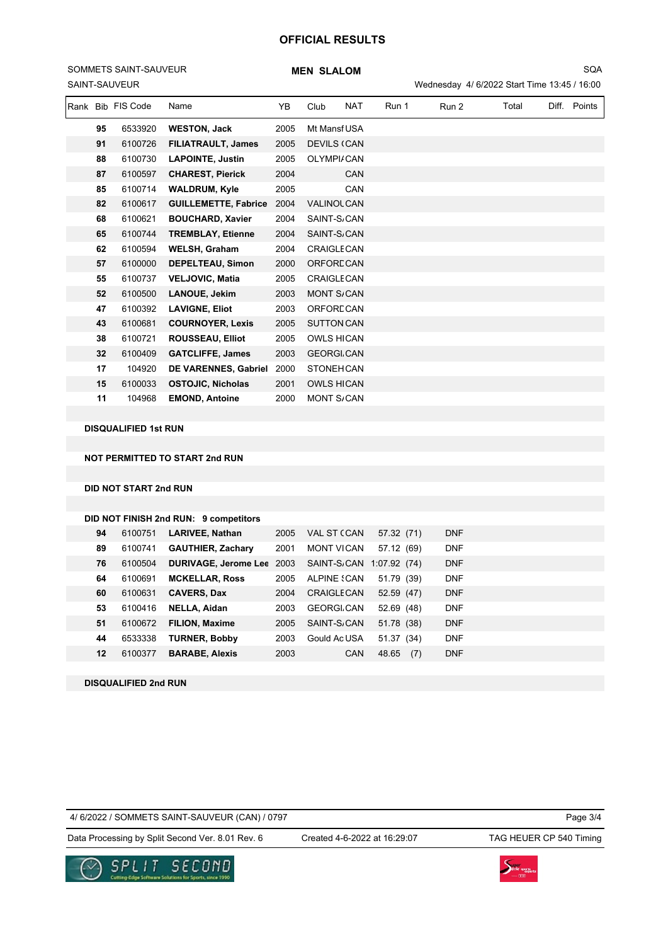# SAINT-SAUVEUR SOMMETS SAINT-SAUVEUR

|    | Rank Bib FIS Code | Name                        | ΥB   | Club                     | <b>NAT</b> | Run 1 | Run 2 | Total | Diff. | Points |
|----|-------------------|-----------------------------|------|--------------------------|------------|-------|-------|-------|-------|--------|
| 95 | 6533920           | <b>WESTON, Jack</b>         | 2005 | Mt Mansf USA             |            |       |       |       |       |        |
| 91 | 6100726           | <b>FILIATRAULT, James</b>   | 2005 | <b>DEVILS (CAN</b>       |            |       |       |       |       |        |
| 88 | 6100730           | <b>LAPOINTE, Justin</b>     | 2005 | <b>OLYMPI/CAN</b>        |            |       |       |       |       |        |
| 87 | 6100597           | <b>CHAREST, Pierick</b>     | 2004 |                          | <b>CAN</b> |       |       |       |       |        |
| 85 | 6100714           | <b>WALDRUM, Kyle</b>        | 2005 |                          | CAN        |       |       |       |       |        |
| 82 | 6100617           | <b>GUILLEMETTE, Fabrice</b> | 2004 | <b>VALINOL CAN</b>       |            |       |       |       |       |        |
| 68 | 6100621           | <b>BOUCHARD, Xavier</b>     | 2004 | SAINT-S <sub>/</sub> CAN |            |       |       |       |       |        |
| 65 | 6100744           | <b>TREMBLAY, Etienne</b>    | 2004 | SAINT-S <sub>/</sub> CAN |            |       |       |       |       |        |
| 62 | 6100594           | <b>WELSH, Graham</b>        | 2004 | <b>CRAIGLE CAN</b>       |            |       |       |       |       |        |
| 57 | 6100000           | DEPELTEAU, Simon            | 2000 | ORFORE CAN               |            |       |       |       |       |        |
| 55 | 6100737           | <b>VELJOVIC, Matia</b>      | 2005 | <b>CRAIGLE CAN</b>       |            |       |       |       |       |        |
| 52 | 6100500           | <b>LANOUE, Jekim</b>        | 2003 | <b>MONT S/CAN</b>        |            |       |       |       |       |        |
| 47 | 6100392           | <b>LAVIGNE, Eliot</b>       | 2003 | ORFORE CAN               |            |       |       |       |       |        |
| 43 | 6100681           | <b>COURNOYER, Lexis</b>     | 2005 | <b>SUTTON CAN</b>        |            |       |       |       |       |        |
| 38 | 6100721           | <b>ROUSSEAU, Elliot</b>     | 2005 | <b>OWLS HICAN</b>        |            |       |       |       |       |        |
| 32 | 6100409           | <b>GATCLIFFE, James</b>     | 2003 | <b>GEORGLCAN</b>         |            |       |       |       |       |        |
| 17 | 104920            | <b>DE VARENNES, Gabriel</b> | 2000 | <b>STONEHCAN</b>         |            |       |       |       |       |        |
| 15 | 6100033           | <b>OSTOJIC, Nicholas</b>    | 2001 | <b>OWLS HICAN</b>        |            |       |       |       |       |        |
| 11 | 104968            | <b>EMOND, Antoine</b>       | 2000 | <b>MONT S/CAN</b>        |            |       |       |       |       |        |

**DISQUALIFIED 1st RUN**

**NOT PERMITTED TO START 2nd RUN**

**DID NOT START 2nd RUN**

#### **DID NOT FINISH 2nd RUN: 9 competitors**

| 94 | 6100751 | <b>LARIVEE, Nathan</b>      | 2005 | VAL ST (CAN              | 57.32 (71)   | <b>DNF</b> |
|----|---------|-----------------------------|------|--------------------------|--------------|------------|
| 89 | 6100741 | <b>GAUTHIER, Zachary</b>    | 2001 | <b>MONT VICAN</b>        | 57.12 (69)   | <b>DNF</b> |
| 76 | 6100504 | <b>DURIVAGE, Jerome Lee</b> | 2003 | SAINT-S/CAN 1:07.92 (74) |              | <b>DNF</b> |
| 64 | 6100691 | <b>MCKELLAR, Ross</b>       | 2005 | ALPINE SCAN              | 51.79 (39)   | <b>DNF</b> |
| 60 | 6100631 | <b>CAVERS, Dax</b>          | 2004 | <b>CRAIGLE CAN</b>       | 52.59 (47)   | <b>DNF</b> |
| 53 | 6100416 | NELLA, Aidan                | 2003 | <b>GEORGLCAN</b>         | 52.69 (48)   | <b>DNF</b> |
| 51 | 6100672 | <b>FILION, Maxime</b>       | 2005 | SAINT-S <sub>/</sub> CAN | 51.78 (38)   | <b>DNF</b> |
| 44 | 6533338 | <b>TURNER, Bobby</b>        | 2003 | Gould AcUSA              | 51.37 (34)   | <b>DNF</b> |
| 12 | 6100377 | <b>BARABE, Alexis</b>       | 2003 | <b>CAN</b>               | (7)<br>48.65 | <b>DNF</b> |
|    |         |                             |      |                          |              |            |

**DISQUALIFIED 2nd RUN**

### 4/ 6/2022 / SOMMETS SAINT-SAUVEUR (CAN) / 0797

Page 3/4

Data Processing by Split Second Ver. 8.01 Rev. 6 Created 4-6-2022 at 16:29:07 TAG HEUER CP 540 Timing

Created 4-6-2022 at 16:29:07